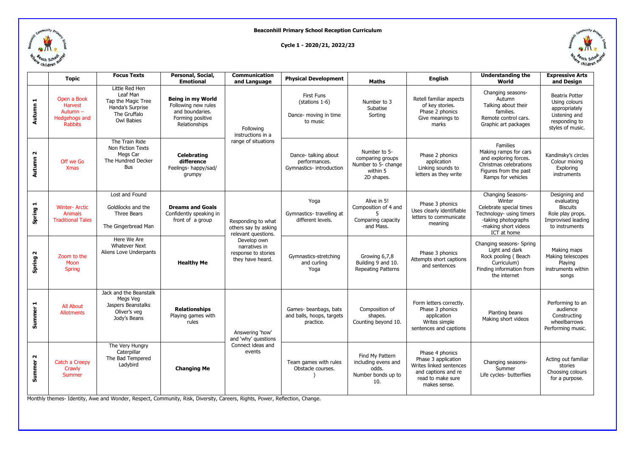

## **Beaconhill Primary School Reception Curriculum**

**Cycle 1 - 2020/21, 2022/23**



|                    | <b>Topic</b>                                                                | <b>Focus Texts</b>                                                                                        | Personal, Social,<br><b>Emotional</b>                                                                   | <b>Communication</b><br>and Language                                                                                                         | <b>Physical Development</b>                                              | Maths                                                                             | <b>English</b>                                                                                                                | <b>Understanding the</b><br>World                                                                                                                | <b>Expressive Arts</b><br>and Design                                                                          |
|--------------------|-----------------------------------------------------------------------------|-----------------------------------------------------------------------------------------------------------|---------------------------------------------------------------------------------------------------------|----------------------------------------------------------------------------------------------------------------------------------------------|--------------------------------------------------------------------------|-----------------------------------------------------------------------------------|-------------------------------------------------------------------------------------------------------------------------------|--------------------------------------------------------------------------------------------------------------------------------------------------|---------------------------------------------------------------------------------------------------------------|
| H<br><b>Autumn</b> | Open a Book<br><b>Harvest</b><br>Autumn-<br>Hedgehogs and<br><b>Rabbits</b> | Little Red Hen<br>Leaf Man<br>Tap the Magic Tree<br>Handa's Surprise<br>The Gruffalo<br><b>Owl Babies</b> | <b>Being in my World</b><br>Following new rules<br>and boundaries.<br>Forming positive<br>Relationships | Following<br>instructions in a<br>range of situations                                                                                        | <b>First Funs</b><br>(stations 1-6)<br>Dance- moving in time<br>to music | Number to 3<br>Subatise<br>Sorting                                                | Retell familiar aspects<br>of key stories.<br>Phase 2 phonics<br>Give meanings to<br>marks                                    | Changing seasons-<br>Autumn<br>Talking about their<br>families.<br>Remote control cars.<br>Graphic art packages                                  | <b>Beatrix Potter</b><br>Using colours<br>appropriately<br>Listening and<br>responding to<br>styles of music. |
| $\sim$<br>Autumn   | Off we Go<br><b>Xmas</b>                                                    | The Train Ride<br>Non Fiction Texts<br>Megs Car<br>The Hundred Decker<br><b>Bus</b>                       | <b>Celebrating</b><br>difference<br>Feelings- happy/sad/<br>grumpy                                      |                                                                                                                                              | Dance-talking about<br>performances.<br>Gymnastics- introduction         | Number to 5-<br>comparing groups<br>Number to 5- change<br>within 5<br>2D shapes. | Phase 2 phonics<br>application<br>Linking sounds to<br>letters as they write                                                  | Families<br>Making ramps for cars<br>and exploring forces.<br>Christmas celebrations<br>Figures from the past<br>Ramps for vehicles              | Kandinsky's circles<br>Colour mixing<br>Exploring<br>instruments                                              |
| Н<br>Spring        | <b>Winter-Arctic</b><br><b>Animals</b><br><b>Traditional Tales</b>          | Lost and Found<br>Goldilocks and the<br>Three Bears<br>The Gingerbread Man                                | <b>Dreams and Goals</b><br>Confidently speaking in<br>front of a group                                  | Responding to what<br>others say by asking<br>relevant questions.<br>Develop own<br>narratives in<br>response to stories<br>they have heard. | Yoga<br>Gymnastics-travelling at<br>different levels.                    | Alive in 5!<br>Composition of 4 and<br>Comparing capacity<br>and Mass.            | Phase 3 phonics<br>Uses clearly identifiable<br>letters to communicate<br>meaning                                             | Changing Seasons-<br>Winter<br>Celebrate special times<br>Technology- using timers<br>-taking photographs<br>-making short videos<br>ICT at home | Designing and<br>evaluating<br><b>Biscuits</b><br>Role play props.<br>Improvised leading<br>to instruments    |
| $\sim$<br>Spring   | Zoom to the<br>Moon<br><b>Spring</b>                                        | Here We Are<br><b>Whatever Next</b><br>Aliens Love Underpants                                             | <b>Healthy Me</b>                                                                                       |                                                                                                                                              | Gymnastics-stretching<br>and curling<br>Yoga                             | Growing 6,7,8<br>Building 9 and 10.<br><b>Repeating Patterns</b>                  | Phase 3 phonics<br>Attempts short captions<br>and sentences                                                                   | Changing seasons- Spring<br>Light and dark<br>Rock pooling (Beach<br>Curriculum)<br>Finding information from<br>the internet                     | Making maps<br>Making telescopes<br>Playing<br>instruments within<br>songs                                    |
| H<br><b>Summer</b> | <b>All About</b><br><b>Allotments</b>                                       | Jack and the Beanstalk<br>Megs Veg<br>Jaspers Beanstalks<br>Oliver's veg<br>Jody's Beans                  | <b>Relationships</b><br>Playing games with<br>rules                                                     | Answering 'how'<br>and 'why' questions<br>Connect ideas and<br>events                                                                        | Games- beanbags, bats<br>and balls, hoops, targets<br>practice.          | Composition of<br>shapes.<br>Counting beyond 10.                                  | Form letters correctly.<br>Phase 3 phonics<br>application<br>Writes simple<br>sentences and captions                          | Planting beans<br>Making short videos                                                                                                            | Performing to an<br>audience<br>Constructing<br>wheelbarrows<br>Performing music.                             |
| $\sim$<br>Summer   | Catch a Creepy<br>Crawly<br>Summer                                          | The Very Hungry<br>Caterpillar<br>The Bad Tempered<br>Ladybird                                            | <b>Changing Me</b>                                                                                      |                                                                                                                                              | Team games with rules<br>Obstacle courses.                               | Find My Pattern<br>including evens and<br>odds.<br>Number bonds up to<br>10.      | Phase 4 phonics<br>Phase 3 application<br>Writes linked sentences<br>and captions and re<br>read to make sure<br>makes sense. | Changing seasons-<br>Summer<br>Life cycles- butterflies                                                                                          | Acting out familiar<br>stories<br>Choosing colours<br>for a purpose.                                          |

Monthly themes- Identity, Awe and Wonder, Respect, Community, Risk, Diversity, Careers, Rights, Power, Reflection, Change.